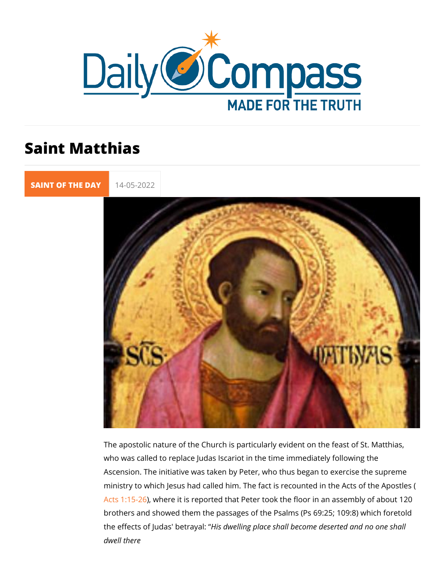## Saint Matthias

[SAINT OF TH](https://newdailycompass.com/en/santi-del-giorno)E 14-05-2022

The apostolic nature of the Church is particularly evident on t who was called to replace Judas Iscariot in the time immediate Ascension. The initiative was taken by Peter, who thus began ministry to which Jesus had called him. The fact is recounted Acts  $1:1$ 5. Where it is reported that Peter took the floor in an a brothers and showed them the passages of the Psalms (Ps 69:3 the effects of Judas'Hibse diwagy laing place shall become deserted a dwell there